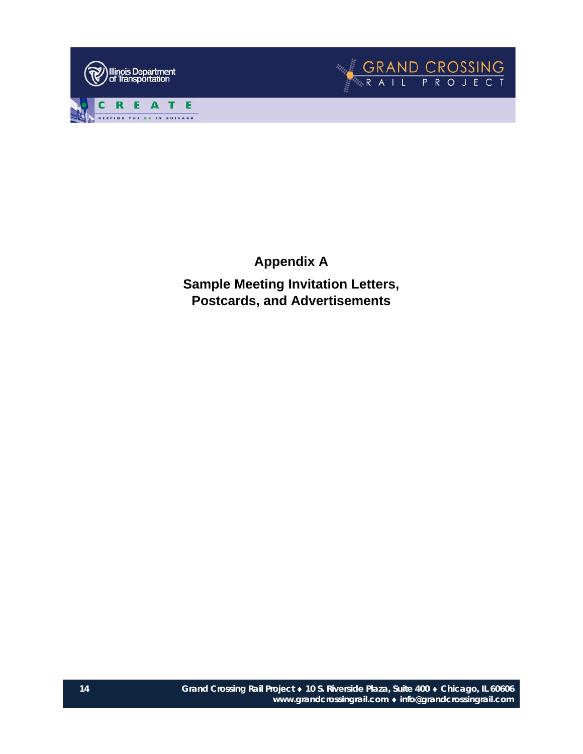



**Appendix A Sample Meeting Invitation Letters, Postcards, and Advertisements**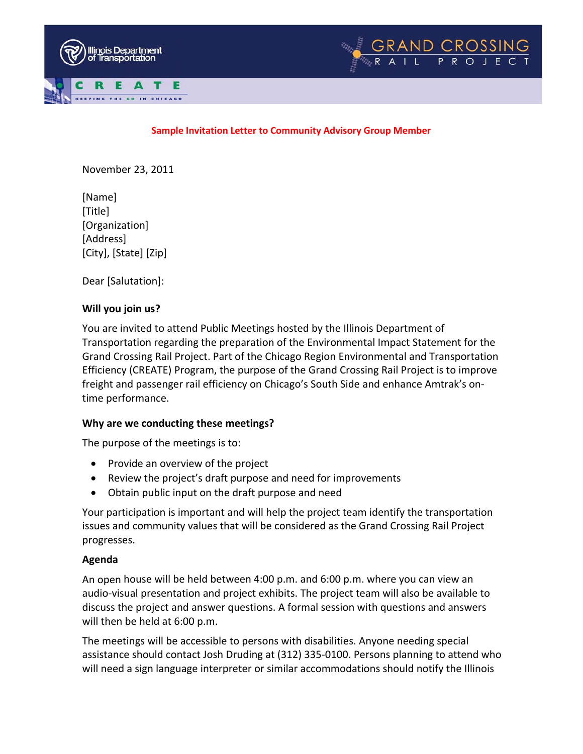



### **Sample Invitation Letter to Community Advisory Group Member**

November 23, 2011

[Name] [Title] [Organization] [Address] [City], [State] [Zip]

Dear [Salutation]:

# **Will you join us?**

You are invited to attend Public Meetings hosted by the Illinois Department of Transportation regarding the preparation of the Environmental Impact Statement for the Grand Crossing Rail Project. Part of the Chicago Region Environmental and Transportation Efficiency (CREATE) Program, the purpose of the Grand Crossing Rail Project is to improve freight and passenger rail efficiency on Chicago's South Side and enhance Amtrak's on‐ time performance.

# **Why are we conducting these meetings?**

The purpose of the meetings is to:

- Provide an overview of the project
- Review the project's draft purpose and need for improvements
- Obtain public input on the draft purpose and need

Your participation is important and will help the project team identify the transportation issues and community values that will be considered as the Grand Crossing Rail Project progresses.

# **Agenda**

An open house will be held between 4:00 p.m. and 6:00 p.m. where you can view an audio‐visual presentation and project exhibits. The project team will also be available to discuss the project and answer questions. A formal session with questions and answers will then be held at 6:00 p.m.

The meetings will be accessible to persons with disabilities. Anyone needing special assistance should contact Josh Druding at (312) 335‐0100. Persons planning to attend who will need a sign language interpreter or similar accommodations should notify the Illinois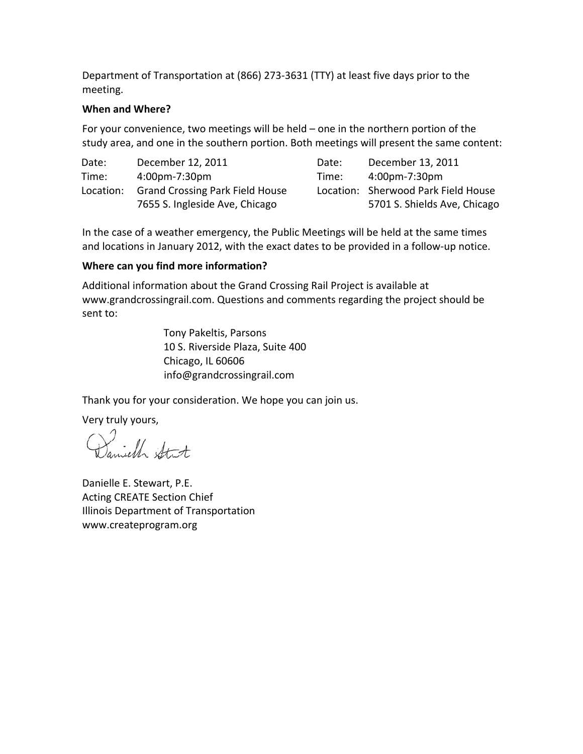Department of Transportation at (866) 273‐3631 (TTY) at least five days prior to the meeting.

# **When and Where?**

For your convenience, two meetings will be held – one in the northern portion of the study area, and one in the southern portion. Both meetings will present the same content:

| Date:     | December 12, 2011                      | Date: | December 13, 2011                   |
|-----------|----------------------------------------|-------|-------------------------------------|
| Time:     | 4:00pm-7:30pm                          | Time: | 4:00pm-7:30pm                       |
| Location: | <b>Grand Crossing Park Field House</b> |       | Location: Sherwood Park Field House |
|           | 7655 S. Ingleside Ave, Chicago         |       | 5701 S. Shields Ave, Chicago        |

In the case of a weather emergency, the Public Meetings will be held at the same times and locations in January 2012, with the exact dates to be provided in a follow-up notice.

# **Where can you find more information?**

Additional information about the Grand Crossing Rail Project is available at www.grandcrossingrail.com. Questions and comments regarding the project should be sent to:

> Tony Pakeltis, Parsons 10 S. Riverside Plaza, Suite 400 Chicago, IL 60606 info@grandcrossingrail.com

Thank you for your consideration. We hope you can join us.

Very truly yours,

amiell Stit

Danielle E. Stewart, P.E. Acting CREATE Section Chief Illinois Department of Transportation www.createprogram.org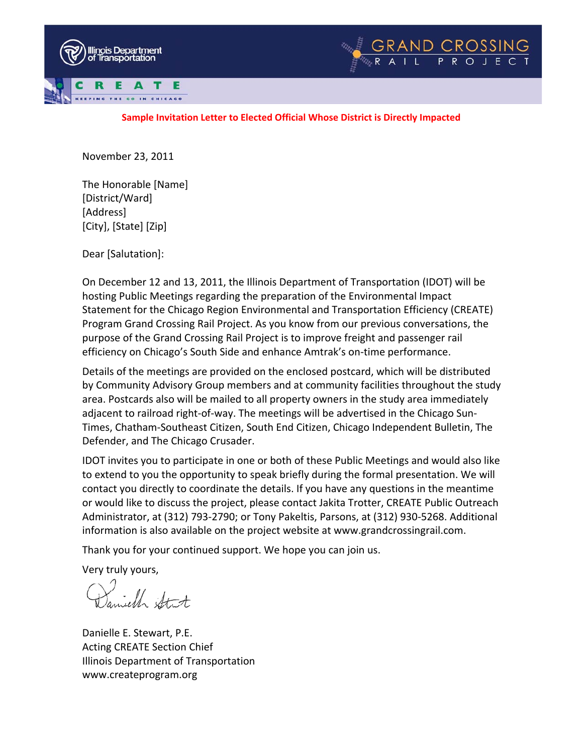



### **Sample Invitation Letter to Elected Official Whose District is Directly Impacted**

November 23, 2011

The Honorable [Name] [District/Ward] [Address] [City], [State] [Zip]

Dear [Salutation]:

On December 12 and 13, 2011, the Illinois Department of Transportation (IDOT) will be hosting Public Meetings regarding the preparation of the Environmental Impact Statement for the Chicago Region Environmental and Transportation Efficiency (CREATE) Program Grand Crossing Rail Project. As you know from our previous conversations, the purpose of the Grand Crossing Rail Project is to improve freight and passenger rail efficiency on Chicago's South Side and enhance Amtrak's on‐time performance.

Details of the meetings are provided on the enclosed postcard, which will be distributed by Community Advisory Group members and at community facilities throughout the study area. Postcards also will be mailed to all property owners in the study area immediately adjacent to railroad right‐of‐way. The meetings will be advertised in the Chicago Sun‐ Times, Chatham‐Southeast Citizen, South End Citizen, Chicago Independent Bulletin, The Defender, and The Chicago Crusader.

IDOT invites you to participate in one or both of these Public Meetings and would also like to extend to you the opportunity to speak briefly during the formal presentation. We will contact you directly to coordinate the details. If you have any questions in the meantime or would like to discuss the project, please contact Jakita Trotter, CREATE Public Outreach Administrator, at (312) 793‐2790; or Tony Pakeltis, Parsons, at (312) 930‐5268. Additional information is also available on the project website at www.grandcrossingrail.com.

Thank you for your continued support. We hope you can join us.

Very truly yours,

Samich Strt

Danielle E. Stewart, P.E. Acting CREATE Section Chief Illinois Department of Transportation www.createprogram.org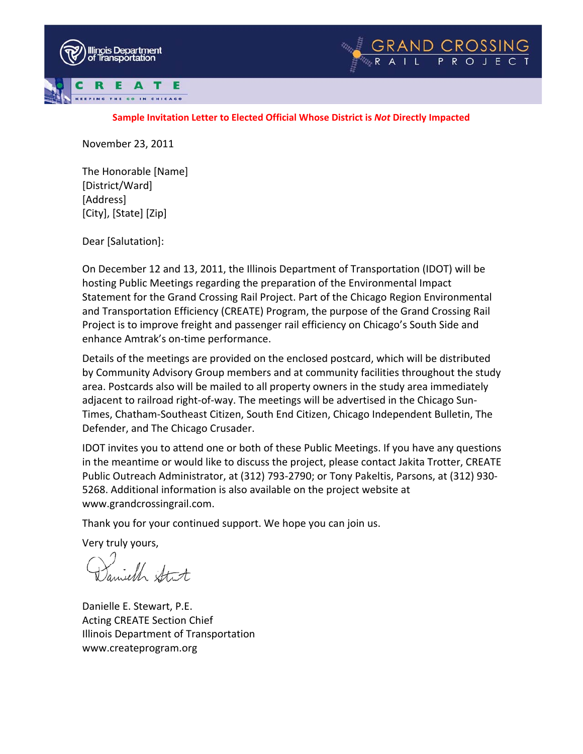



#### **Sample Invitation Letter to Elected Official Whose District is** *Not* **Directly Impacted**

November 23, 2011

The Honorable [Name] [District/Ward] [Address] [City], [State] [Zip]

Dear [Salutation]:

On December 12 and 13, 2011, the Illinois Department of Transportation (IDOT) will be hosting Public Meetings regarding the preparation of the Environmental Impact Statement for the Grand Crossing Rail Project. Part of the Chicago Region Environmental and Transportation Efficiency (CREATE) Program, the purpose of the Grand Crossing Rail Project is to improve freight and passenger rail efficiency on Chicago's South Side and enhance Amtrak's on‐time performance.

Details of the meetings are provided on the enclosed postcard, which will be distributed by Community Advisory Group members and at community facilities throughout the study area. Postcards also will be mailed to all property owners in the study area immediately adjacent to railroad right-of-way. The meetings will be advertised in the Chicago Sun-Times, Chatham‐Southeast Citizen, South End Citizen, Chicago Independent Bulletin, The Defender, and The Chicago Crusader.

IDOT invites you to attend one or both of these Public Meetings. If you have any questions in the meantime or would like to discuss the project, please contact Jakita Trotter, CREATE Public Outreach Administrator, at (312) 793‐2790; or Tony Pakeltis, Parsons, at (312) 930‐ 5268. Additional information is also available on the project website at www.grandcrossingrail.com.

Thank you for your continued support. We hope you can join us.

Very truly yours,

,<br>mielle stut

Danielle E. Stewart, P.E. Acting CREATE Section Chief Illinois Department of Transportation www.createprogram.org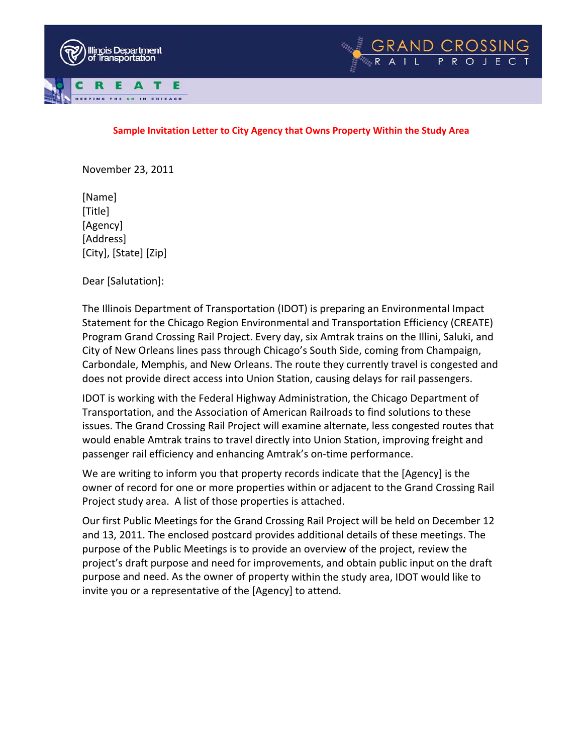



#### **Sample Invitation Letter to City Agency that Owns Property Within the Study Area**

November 23, 2011

[Name] [Title] [Agency] [Address] [City], [State] [Zip]

Dear [Salutation]:

The Illinois Department of Transportation (IDOT) is preparing an Environmental Impact Statement for the Chicago Region Environmental and Transportation Efficiency (CREATE) Program Grand Crossing Rail Project. Every day, six Amtrak trains on the Illini, Saluki, and City of New Orleans lines pass through Chicago's South Side, coming from Champaign, Carbondale, Memphis, and New Orleans. The route they currently travel is congested and does not provide direct access into Union Station, causing delays for rail passengers.

IDOT is working with the Federal Highway Administration, the Chicago Department of Transportation, and the Association of American Railroads to find solutions to these issues. The Grand Crossing Rail Project will examine alternate, less congested routes that would enable Amtrak trains to travel directly into Union Station, improving freight and passenger rail efficiency and enhancing Amtrak's on‐time performance.

We are writing to inform you that property records indicate that the [Agency] is the owner of record for one or more properties within or adjacent to the Grand Crossing Rail Project study area. A list of those properties is attached.

Our first Public Meetings for the Grand Crossing Rail Project will be held on December 12 and 13, 2011. The enclosed postcard provides additional details of these meetings. The purpose of the Public Meetings is to provide an overview of the project, review the project's draft purpose and need for improvements, and obtain public input on the draft purpose and need. As the owner of property within the study area, IDOT would like to invite you or a representative of the [Agency] to attend.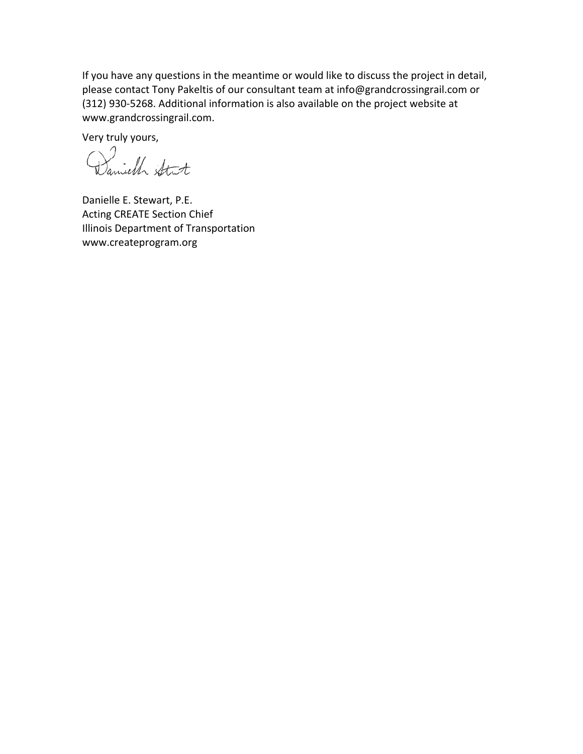If you have any questions in the meantime or would like to discuss the project in detail, please contact Tony Pakeltis of our consultant team at info@grandcrossingrail.com or (312) 930‐5268. Additional information is also available on the project website at www.grandcrossingrail.com.

Very truly yours,

Danielle E. Stewart, P.E. Acting CREATE Section Chief Illinois Department of Transportation www.createprogram.org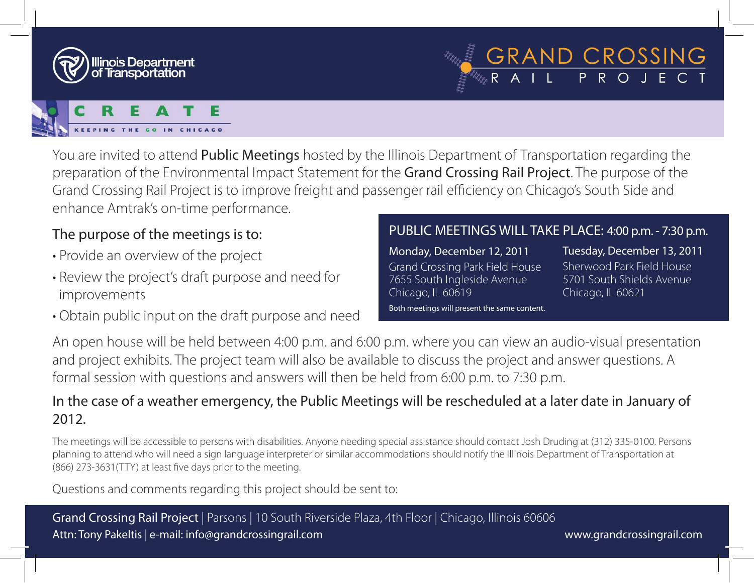

You are invited to attend Public Meetings hosted by the Illinois Department of Transportation regarding the preparation of the Environmental Impact Statement for the Grand Crossing Rail Project. The purpose of the Grand Crossing Rail Project is to improve freight and passenger rail efficiency on Chicago's South Side and enhance Amtrak's on-time performance.

# The purpose of the meetings is to:

- Provide an overview of the project
- Review the project's draft purpose and need for improvements
- Obtain public input on the draft purpose and need

# PUBLIC MEETINGS WILL TAKE PLACE: 4:00 p.m. - 7:30 p.m.

Monday, December 12, 2011 Grand Crossing Park Field House 7655 South Ingleside Avenue

Chicago, IL 60619

Tuesday, December 13, 2011

GRAND CROSSING<br>ERAIL PROJECT

Sherwood Park Field House 5701 South Shields Avenue Chicago, IL 60621

Both meetings will present the same content.

An open house will be held between 4:00 p.m. and 6:00 p.m. where you can view an audio-visual presentation and project exhibits. The project team will also be available to discuss the project and answer questions. A formal session with questions and answers will then be held from 6:00 p.m. to 7:30 p.m.

# In the case of a weather emergency, the Public Meetings will be rescheduled at a later date in January of 2012.

The meetings will be accessible to persons with disabilities. Anyone needing special assistance should contact Josh Druding at (312) 335-0100. Persons planning to attend who will need a sign language interpreter or similar accommodations should notify the Illinois Department of Transportation at (866) 273-3631(TTY) at least five days prior to the meeting.

Questions and comments regarding this project should be sent to:

Grand Crossing Rail Project | Parsons | 10 South Riverside Plaza, 4th Floor | Chicago, Illinois 60606 Attn: Tony Pakeltis | e-mail: info@grandcrossingrail.com www.grandcrossingrail.com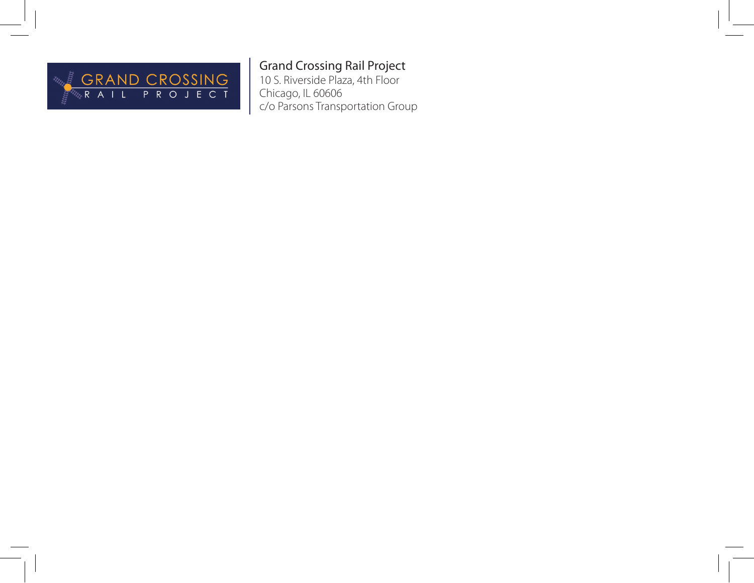

# Grand Crossing Rail Project

10 S. Riverside Plaza, 4th Floor Chicago, IL 60606 c/o Parsons Transportation Group